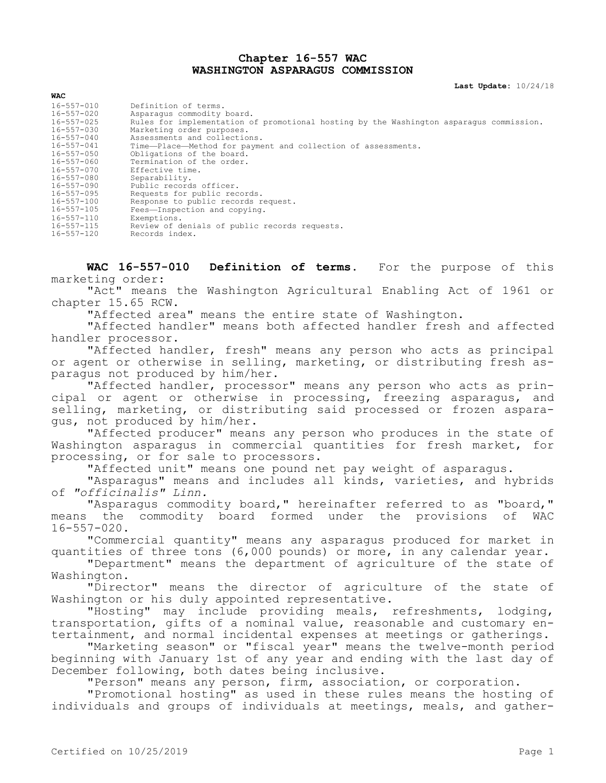## **Chapter 16-557 WAC WASHINGTON ASPARAGUS COMMISSION**

**Last Update:** 10/24/18

| Definition of terms.                                                                    |
|-----------------------------------------------------------------------------------------|
| Asparagus commodity board.                                                              |
| Rules for implementation of promotional hosting by the Washington asparagus commission. |
| Marketing order purposes.                                                               |
| Assessments and collections.                                                            |
| Time-Place-Method for payment and collection of assessments.                            |
| Obligations of the board.                                                               |
| Termination of the order.                                                               |
| Effective time.                                                                         |
| Separability.                                                                           |
| Public records officer.                                                                 |
| Requests for public records.                                                            |
| Response to public records request.                                                     |
| Fees-Inspection and copying.                                                            |
| Exemptions.                                                                             |
| Review of denials of public records requests.                                           |
| Records index.                                                                          |
|                                                                                         |

**WAC 16-557-010 Definition of terms.** For the purpose of this marketing order:

"Act" means the Washington Agricultural Enabling Act of 1961 or chapter 15.65 RCW.

"Affected area" means the entire state of Washington.

"Affected handler" means both affected handler fresh and affected handler processor.

"Affected handler, fresh" means any person who acts as principal or agent or otherwise in selling, marketing, or distributing fresh asparagus not produced by him/her.

"Affected handler, processor" means any person who acts as principal or agent or otherwise in processing, freezing asparagus, and selling, marketing, or distributing said processed or frozen asparagus, not produced by him/her.

"Affected producer" means any person who produces in the state of Washington asparagus in commercial quantities for fresh market, for processing, or for sale to processors.

"Affected unit" means one pound net pay weight of asparagus.

"Asparagus" means and includes all kinds, varieties, and hybrids of *"officinalis" Linn.*

"Asparagus commodity board," hereinafter referred to as "board," means the commodity board formed under the provisions of WAC 16-557-020.

"Commercial quantity" means any asparagus produced for market in quantities of three tons (6,000 pounds) or more, in any calendar year.

"Department" means the department of agriculture of the state of Washington.

"Director" means the director of agriculture of the state of Washington or his duly appointed representative.

"Hosting" may include providing meals, refreshments, lodging, transportation, gifts of a nominal value, reasonable and customary entertainment, and normal incidental expenses at meetings or gatherings.

"Marketing season" or "fiscal year" means the twelve-month period beginning with January 1st of any year and ending with the last day of December following, both dates being inclusive.

"Person" means any person, firm, association, or corporation.

"Promotional hosting" as used in these rules means the hosting of individuals and groups of individuals at meetings, meals, and gather-

**WAC**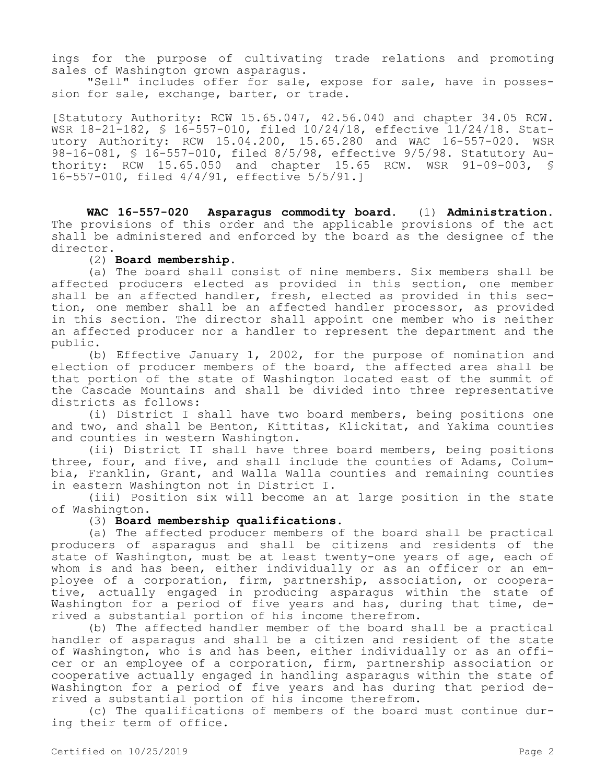ings for the purpose of cultivating trade relations and promoting sales of Washington grown asparagus.

"Sell" includes offer for sale, expose for sale, have in possession for sale, exchange, barter, or trade.

[Statutory Authority: RCW 15.65.047, 42.56.040 and chapter 34.05 RCW. WSR 18-21-182, § 16-557-010, filed 10/24/18, effective 11/24/18. Statutory Authority: RCW 15.04.200, 15.65.280 and WAC 16-557-020. WSR 98-16-081, § 16-557-010, filed 8/5/98, effective 9/5/98. Statutory Authority: RCW 15.65.050 and chapter 15.65 RCW. WSR 91-09-003, § 16-557-010, filed 4/4/91, effective 5/5/91.]

**WAC 16-557-020 Asparagus commodity board.** (1) **Administration.**  The provisions of this order and the applicable provisions of the act shall be administered and enforced by the board as the designee of the director.

#### (2) **Board membership.**

(a) The board shall consist of nine members. Six members shall be affected producers elected as provided in this section, one member shall be an affected handler, fresh, elected as provided in this section, one member shall be an affected handler processor, as provided in this section. The director shall appoint one member who is neither an affected producer nor a handler to represent the department and the public.

(b) Effective January 1, 2002, for the purpose of nomination and election of producer members of the board, the affected area shall be that portion of the state of Washington located east of the summit of the Cascade Mountains and shall be divided into three representative districts as follows:

(i) District I shall have two board members, being positions one and two, and shall be Benton, Kittitas, Klickitat, and Yakima counties and counties in western Washington.

(ii) District II shall have three board members, being positions three, four, and five, and shall include the counties of Adams, Columbia, Franklin, Grant, and Walla Walla counties and remaining counties in eastern Washington not in District I.

(iii) Position six will become an at large position in the state of Washington.

## (3) **Board membership qualifications.**

(a) The affected producer members of the board shall be practical producers of asparagus and shall be citizens and residents of the state of Washington, must be at least twenty-one years of age, each of whom is and has been, either individually or as an officer or an employee of a corporation, firm, partnership, association, or cooperative, actually engaged in producing asparagus within the state of Washington for a period of five years and has, during that time, derived a substantial portion of his income therefrom.

(b) The affected handler member of the board shall be a practical handler of asparagus and shall be a citizen and resident of the state of Washington, who is and has been, either individually or as an officer or an employee of a corporation, firm, partnership association or cooperative actually engaged in handling asparagus within the state of Washington for a period of five years and has during that period derived a substantial portion of his income therefrom.

(c) The qualifications of members of the board must continue during their term of office.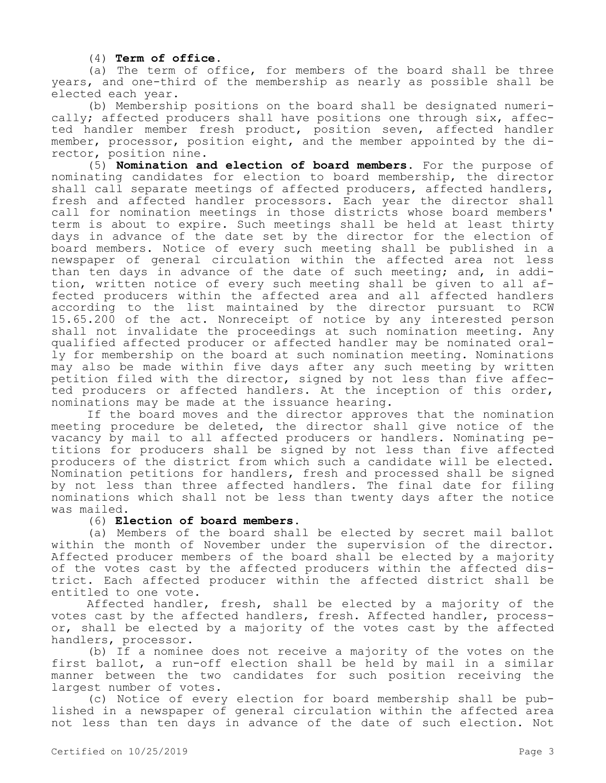(4) **Term of office.**

(a) The term of office, for members of the board shall be three years, and one-third of the membership as nearly as possible shall be elected each year.

(b) Membership positions on the board shall be designated numerically; affected producers shall have positions one through six, affected handler member fresh product, position seven, affected handler member, processor, position eight, and the member appointed by the director, position nine.

(5) **Nomination and election of board members.** For the purpose of nominating candidates for election to board membership, the director shall call separate meetings of affected producers, affected handlers, fresh and affected handler processors. Each year the director shall call for nomination meetings in those districts whose board members' term is about to expire. Such meetings shall be held at least thirty days in advance of the date set by the director for the election of board members. Notice of every such meeting shall be published in a newspaper of general circulation within the affected area not less than ten days in advance of the date of such meeting; and, in addition, written notice of every such meeting shall be given to all affected producers within the affected area and all affected handlers according to the list maintained by the director pursuant to RCW 15.65.200 of the act. Nonreceipt of notice by any interested person shall not invalidate the proceedings at such nomination meeting. Any qualified affected producer or affected handler may be nominated orally for membership on the board at such nomination meeting. Nominations may also be made within five days after any such meeting by written petition filed with the director, signed by not less than five affected producers or affected handlers. At the inception of this order, nominations may be made at the issuance hearing.

If the board moves and the director approves that the nomination meeting procedure be deleted, the director shall give notice of the vacancy by mail to all affected producers or handlers. Nominating petitions for producers shall be signed by not less than five affected producers of the district from which such a candidate will be elected. Nomination petitions for handlers, fresh and processed shall be signed by not less than three affected handlers. The final date for filing nominations which shall not be less than twenty days after the notice was mailed.

#### (6) **Election of board members.**

(a) Members of the board shall be elected by secret mail ballot within the month of November under the supervision of the director. Affected producer members of the board shall be elected by a majority of the votes cast by the affected producers within the affected district. Each affected producer within the affected district shall be entitled to one vote.

Affected handler, fresh, shall be elected by a majority of the votes cast by the affected handlers, fresh. Affected handler, processor, shall be elected by a majority of the votes cast by the affected handlers, processor.

(b) If a nominee does not receive a majority of the votes on the first ballot, a run-off election shall be held by mail in a similar manner between the two candidates for such position receiving the largest number of votes.

(c) Notice of every election for board membership shall be published in a newspaper of general circulation within the affected area not less than ten days in advance of the date of such election. Not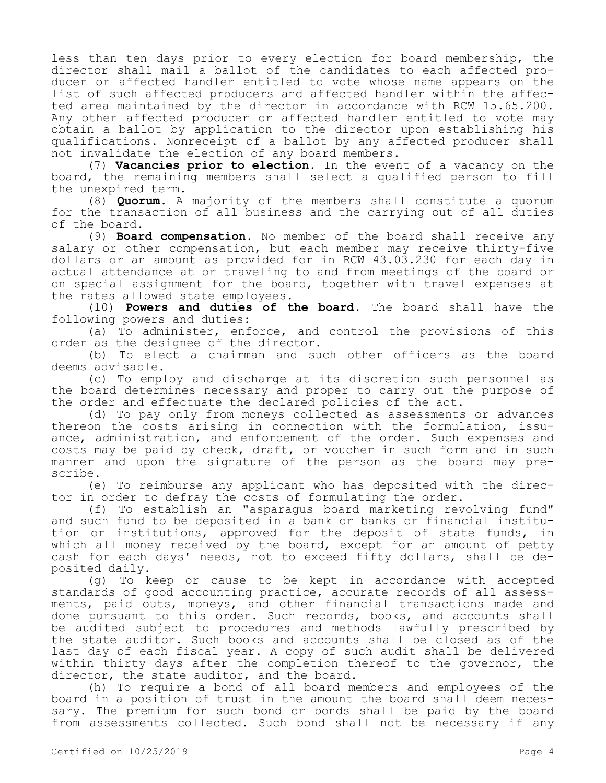less than ten days prior to every election for board membership, the director shall mail a ballot of the candidates to each affected producer or affected handler entitled to vote whose name appears on the list of such affected producers and affected handler within the affected area maintained by the director in accordance with RCW 15.65.200. Any other affected producer or affected handler entitled to vote may obtain a ballot by application to the director upon establishing his qualifications. Nonreceipt of a ballot by any affected producer shall not invalidate the election of any board members.

(7) **Vacancies prior to election.** In the event of a vacancy on the board, the remaining members shall select a qualified person to fill the unexpired term.

(8) **Quorum.** A majority of the members shall constitute a quorum for the transaction of all business and the carrying out of all duties of the board.

(9) **Board compensation.** No member of the board shall receive any salary or other compensation, but each member may receive thirty-five dollars or an amount as provided for in RCW 43.03.230 for each day in actual attendance at or traveling to and from meetings of the board or on special assignment for the board, together with travel expenses at the rates allowed state employees.

(10) **Powers and duties of the board.** The board shall have the following powers and duties:

(a) To administer, enforce, and control the provisions of this order as the designee of the director.

(b) To elect a chairman and such other officers as the board deems advisable.

(c) To employ and discharge at its discretion such personnel as the board determines necessary and proper to carry out the purpose of the order and effectuate the declared policies of the act.

(d) To pay only from moneys collected as assessments or advances thereon the costs arising in connection with the formulation, issuance, administration, and enforcement of the order. Such expenses and costs may be paid by check, draft, or voucher in such form and in such manner and upon the signature of the person as the board may prescribe.

(e) To reimburse any applicant who has deposited with the director in order to defray the costs of formulating the order.

(f) To establish an "asparagus board marketing revolving fund" and such fund to be deposited in a bank or banks or financial institution or institutions, approved for the deposit of state funds, in which all money received by the board, except for an amount of petty cash for each days' needs, not to exceed fifty dollars, shall be deposited daily.

(g) To keep or cause to be kept in accordance with accepted standards of good accounting practice, accurate records of all assessments, paid outs, moneys, and other financial transactions made and done pursuant to this order. Such records, books, and accounts shall be audited subject to procedures and methods lawfully prescribed by the state auditor. Such books and accounts shall be closed as of the last day of each fiscal year. A copy of such audit shall be delivered within thirty days after the completion thereof to the governor, the director, the state auditor, and the board.

(h) To require a bond of all board members and employees of the board in a position of trust in the amount the board shall deem necessary. The premium for such bond or bonds shall be paid by the board from assessments collected. Such bond shall not be necessary if any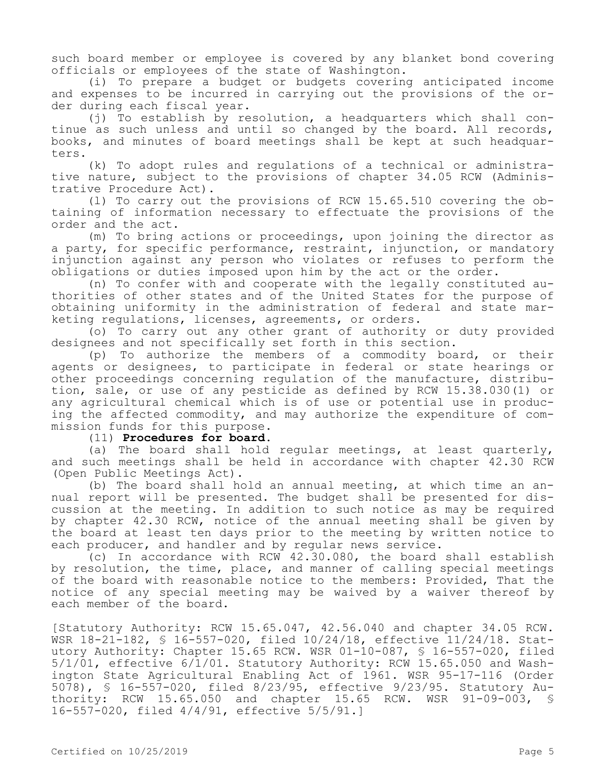such board member or employee is covered by any blanket bond covering officials or employees of the state of Washington.

(i) To prepare a budget or budgets covering anticipated income and expenses to be incurred in carrying out the provisions of the order during each fiscal year.

(j) To establish by resolution, a headquarters which shall continue as such unless and until so changed by the board. All records, books, and minutes of board meetings shall be kept at such headquarters.

(k) To adopt rules and regulations of a technical or administrative nature, subject to the provisions of chapter 34.05 RCW (Administrative Procedure Act).

(l) To carry out the provisions of RCW 15.65.510 covering the obtaining of information necessary to effectuate the provisions of the order and the act.

(m) To bring actions or proceedings, upon joining the director as a party, for specific performance, restraint, injunction, or mandatory injunction against any person who violates or refuses to perform the obligations or duties imposed upon him by the act or the order.

(n) To confer with and cooperate with the legally constituted authorities of other states and of the United States for the purpose of obtaining uniformity in the administration of federal and state marketing regulations, licenses, agreements, or orders.

(o) To carry out any other grant of authority or duty provided designees and not specifically set forth in this section.

(p) To authorize the members of a commodity board, or their agents or designees, to participate in federal or state hearings or other proceedings concerning regulation of the manufacture, distribution, sale, or use of any pesticide as defined by RCW 15.38.030(1) or any agricultural chemical which is of use or potential use in producing the affected commodity, and may authorize the expenditure of commission funds for this purpose.

(11) **Procedures for board.**

(a) The board shall hold regular meetings, at least quarterly, and such meetings shall be held in accordance with chapter 42.30 RCW (Open Public Meetings Act).

(b) The board shall hold an annual meeting, at which time an annual report will be presented. The budget shall be presented for discussion at the meeting. In addition to such notice as may be required by chapter 42.30 RCW, notice of the annual meeting shall be given by the board at least ten days prior to the meeting by written notice to each producer, and handler and by regular news service.

(c) In accordance with RCW 42.30.080, the board shall establish by resolution, the time, place, and manner of calling special meetings of the board with reasonable notice to the members: Provided, That the notice of any special meeting may be waived by a waiver thereof by each member of the board.

[Statutory Authority: RCW 15.65.047, 42.56.040 and chapter 34.05 RCW. WSR 18-21-182, § 16-557-020, filed 10/24/18, effective 11/24/18. Statutory Authority: Chapter 15.65 RCW. WSR 01-10-087, § 16-557-020, filed 5/1/01, effective 6/1/01. Statutory Authority: RCW 15.65.050 and Washington State Agricultural Enabling Act of 1961. WSR 95-17-116 (Order 5078), § 16-557-020, filed 8/23/95, effective 9/23/95. Statutory Authority: RCW 15.65.050 and chapter 15.65 RCW. WSR 91-09-003, § 16-557-020, filed 4/4/91, effective 5/5/91.]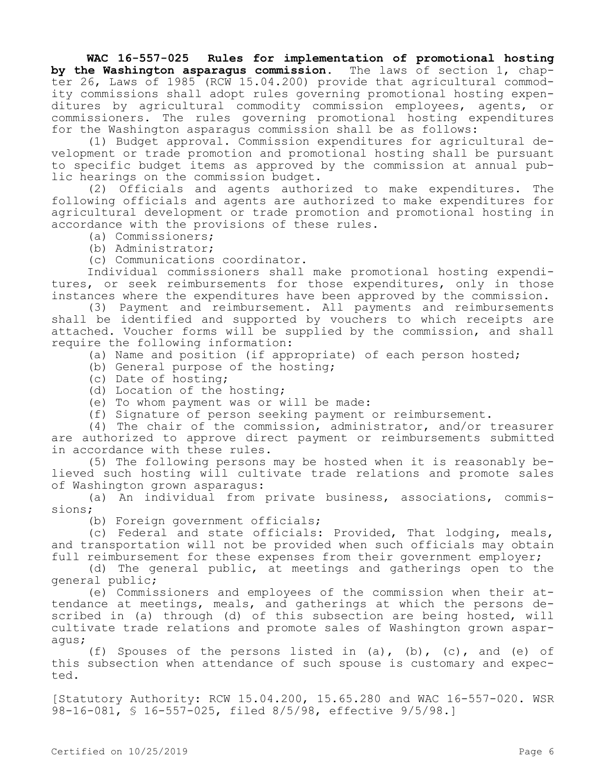**WAC 16-557-025 Rules for implementation of promotional hosting by the Washington asparagus commission.** The laws of section 1, chapter 26, Laws of 1985 (RCW 15.04.200) provide that agricultural commodity commissions shall adopt rules governing promotional hosting expenditures by agricultural commodity commission employees, agents, or commissioners. The rules governing promotional hosting expenditures for the Washington asparagus commission shall be as follows:

(1) Budget approval. Commission expenditures for agricultural development or trade promotion and promotional hosting shall be pursuant to specific budget items as approved by the commission at annual public hearings on the commission budget.

(2) Officials and agents authorized to make expenditures. The following officials and agents are authorized to make expenditures for agricultural development or trade promotion and promotional hosting in accordance with the provisions of these rules.

(a) Commissioners;

(b) Administrator;

(c) Communications coordinator.

Individual commissioners shall make promotional hosting expenditures, or seek reimbursements for those expenditures, only in those instances where the expenditures have been approved by the commission.

(3) Payment and reimbursement. All payments and reimbursements shall be identified and supported by vouchers to which receipts are attached. Voucher forms will be supplied by the commission, and shall require the following information:

(a) Name and position (if appropriate) of each person hosted;

(b) General purpose of the hosting;

- (c) Date of hosting;
- (d) Location of the hosting;
- (e) To whom payment was or will be made:

(f) Signature of person seeking payment or reimbursement.

(4) The chair of the commission, administrator, and/or treasurer are authorized to approve direct payment or reimbursements submitted in accordance with these rules.

(5) The following persons may be hosted when it is reasonably believed such hosting will cultivate trade relations and promote sales of Washington grown asparagus:

(a) An individual from private business, associations, commissions;

(b) Foreign government officials;

(c) Federal and state officials: Provided, That lodging, meals, and transportation will not be provided when such officials may obtain full reimbursement for these expenses from their government employer;

(d) The general public, at meetings and gatherings open to the general public;

(e) Commissioners and employees of the commission when their attendance at meetings, meals, and gatherings at which the persons described in (a) through (d) of this subsection are being hosted, will cultivate trade relations and promote sales of Washington grown asparagus;

(f) Spouses of the persons listed in  $(a)$ ,  $(b)$ ,  $(c)$ , and  $(e)$  of this subsection when attendance of such spouse is customary and expected.

[Statutory Authority: RCW 15.04.200, 15.65.280 and WAC 16-557-020. WSR 98-16-081, § 16-557-025, filed 8/5/98, effective 9/5/98.]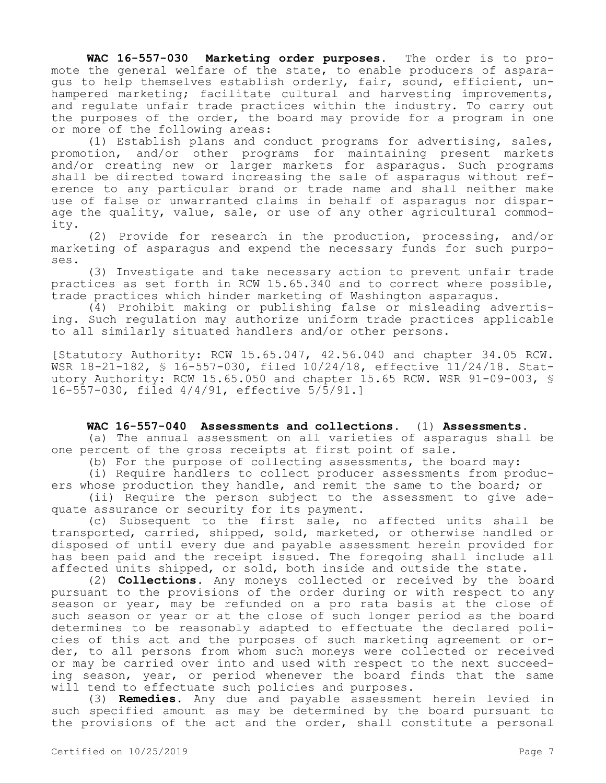**WAC 16-557-030 Marketing order purposes.** The order is to promote the general welfare of the state, to enable producers of asparagus to help themselves establish orderly, fair, sound, efficient, unhampered marketing; facilitate cultural and harvesting improvements, and regulate unfair trade practices within the industry. To carry out the purposes of the order, the board may provide for a program in one or more of the following areas:

(1) Establish plans and conduct programs for advertising, sales, promotion, and/or other programs for maintaining present markets and/or creating new or larger markets for asparagus. Such programs shall be directed toward increasing the sale of asparagus without reference to any particular brand or trade name and shall neither make use of false or unwarranted claims in behalf of asparagus nor disparage the quality, value, sale, or use of any other agricultural commodity.

(2) Provide for research in the production, processing, and/or marketing of asparagus and expend the necessary funds for such purposes.

(3) Investigate and take necessary action to prevent unfair trade practices as set forth in RCW 15.65.340 and to correct where possible, trade practices which hinder marketing of Washington asparagus.

(4) Prohibit making or publishing false or misleading advertising. Such regulation may authorize uniform trade practices applicable to all similarly situated handlers and/or other persons.

[Statutory Authority: RCW 15.65.047, 42.56.040 and chapter 34.05 RCW. WSR 18-21-182, § 16-557-030, filed 10/24/18, effective 11/24/18. Statutory Authority: RCW 15.65.050 and chapter 15.65 RCW. WSR 91-09-003, § 16-557-030, filed 4/4/91, effective 5/5/91.]

# **WAC 16-557-040 Assessments and collections.** (1) **Assessments.**

(a) The annual assessment on all varieties of asparagus shall be one percent of the gross receipts at first point of sale.

(b) For the purpose of collecting assessments, the board may:

(i) Require handlers to collect producer assessments from producers whose production they handle, and remit the same to the board; or

(ii) Require the person subject to the assessment to give adequate assurance or security for its payment.

(c) Subsequent to the first sale, no affected units shall be transported, carried, shipped, sold, marketed, or otherwise handled or disposed of until every due and payable assessment herein provided for has been paid and the receipt issued. The foregoing shall include all affected units shipped, or sold, both inside and outside the state.

(2) **Collections.** Any moneys collected or received by the board pursuant to the provisions of the order during or with respect to any season or year, may be refunded on a pro rata basis at the close of such season or year or at the close of such longer period as the board determines to be reasonably adapted to effectuate the declared policies of this act and the purposes of such marketing agreement or order, to all persons from whom such moneys were collected or received or may be carried over into and used with respect to the next succeeding season, year, or period whenever the board finds that the same will tend to effectuate such policies and purposes.

(3) **Remedies.** Any due and payable assessment herein levied in such specified amount as may be determined by the board pursuant to the provisions of the act and the order, shall constitute a personal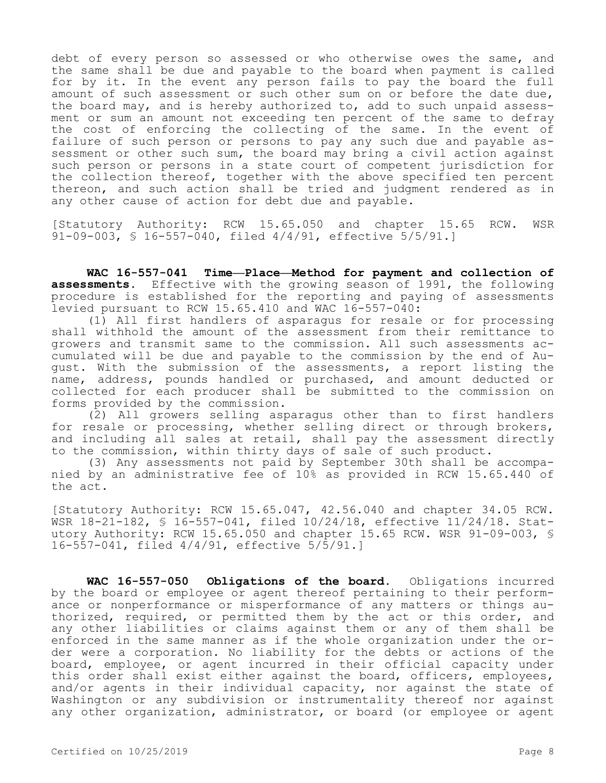debt of every person so assessed or who otherwise owes the same, and the same shall be due and payable to the board when payment is called for by it. In the event any person fails to pay the board the full amount of such assessment or such other sum on or before the date due, the board may, and is hereby authorized to, add to such unpaid assessment or sum an amount not exceeding ten percent of the same to defray the cost of enforcing the collecting of the same. In the event of failure of such person or persons to pay any such due and payable assessment or other such sum, the board may bring a civil action against such person or persons in a state court of competent jurisdiction for the collection thereof, together with the above specified ten percent thereon, and such action shall be tried and judgment rendered as in any other cause of action for debt due and payable.

[Statutory Authority: RCW 15.65.050 and chapter 15.65 RCW. WSR 91-09-003, § 16-557-040, filed 4/4/91, effective 5/5/91.]

**WAC 16-557-041 Time—Place—Method for payment and collection of assessments.** Effective with the growing season of 1991, the following procedure is established for the reporting and paying of assessments levied pursuant to RCW 15.65.410 and WAC 16-557-040:

(1) All first handlers of asparagus for resale or for processing shall withhold the amount of the assessment from their remittance to growers and transmit same to the commission. All such assessments accumulated will be due and payable to the commission by the end of August. With the submission of the assessments, a report listing the name, address, pounds handled or purchased, and amount deducted or collected for each producer shall be submitted to the commission on forms provided by the commission.

(2) All growers selling asparagus other than to first handlers for resale or processing, whether selling direct or through brokers, and including all sales at retail, shall pay the assessment directly to the commission, within thirty days of sale of such product.

(3) Any assessments not paid by September 30th shall be accompanied by an administrative fee of 10% as provided in RCW 15.65.440 of the act.

[Statutory Authority: RCW 15.65.047, 42.56.040 and chapter 34.05 RCW. WSR 18-21-182, § 16-557-041, filed 10/24/18, effective 11/24/18. Statutory Authority: RCW 15.65.050 and chapter 15.65 RCW. WSR 91-09-003, § 16-557-041, filed 4/4/91, effective 5/5/91.]

**WAC 16-557-050 Obligations of the board.** Obligations incurred by the board or employee or agent thereof pertaining to their performance or nonperformance or misperformance of any matters or things authorized, required, or permitted them by the act or this order, and any other liabilities or claims against them or any of them shall be enforced in the same manner as if the whole organization under the order were a corporation. No liability for the debts or actions of the board, employee, or agent incurred in their official capacity under this order shall exist either against the board, officers, employees, and/or agents in their individual capacity, nor against the state of Washington or any subdivision or instrumentality thereof nor against any other organization, administrator, or board (or employee or agent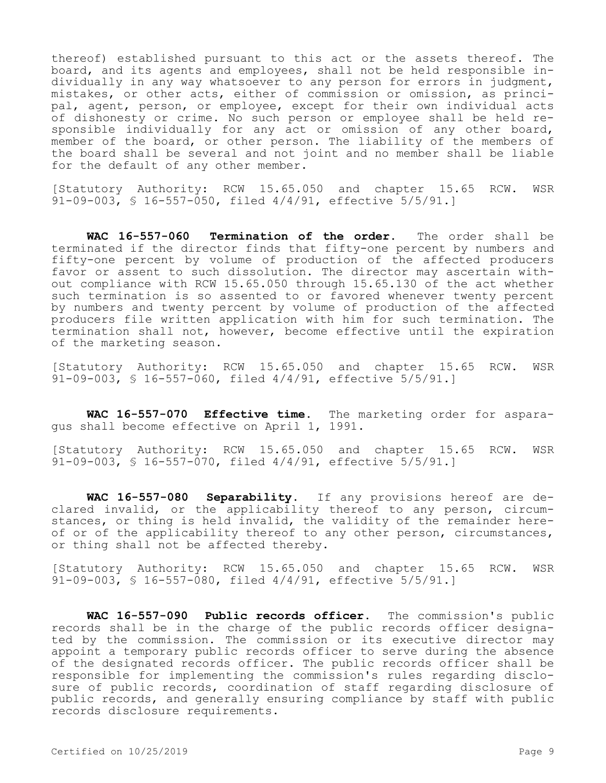thereof) established pursuant to this act or the assets thereof. The board, and its agents and employees, shall not be held responsible individually in any way whatsoever to any person for errors in judgment, mistakes, or other acts, either of commission or omission, as principal, agent, person, or employee, except for their own individual acts of dishonesty or crime. No such person or employee shall be held responsible individually for any act or omission of any other board, member of the board, or other person. The liability of the members of the board shall be several and not joint and no member shall be liable for the default of any other member.

[Statutory Authority: RCW 15.65.050 and chapter 15.65 RCW. WSR 91-09-003, § 16-557-050, filed 4/4/91, effective 5/5/91.]

**WAC 16-557-060 Termination of the order.** The order shall be terminated if the director finds that fifty-one percent by numbers and fifty-one percent by volume of production of the affected producers favor or assent to such dissolution. The director may ascertain without compliance with RCW 15.65.050 through 15.65.130 of the act whether such termination is so assented to or favored whenever twenty percent by numbers and twenty percent by volume of production of the affected producers file written application with him for such termination. The termination shall not, however, become effective until the expiration of the marketing season.

[Statutory Authority: RCW 15.65.050 and chapter 15.65 RCW. WSR 91-09-003, § 16-557-060, filed 4/4/91, effective 5/5/91.]

**WAC 16-557-070 Effective time.** The marketing order for asparagus shall become effective on April 1, 1991.

[Statutory Authority: RCW 15.65.050 and chapter 15.65 RCW. WSR 91-09-003, § 16-557-070, filed 4/4/91, effective 5/5/91.]

**WAC 16-557-080 Separability.** If any provisions hereof are declared invalid, or the applicability thereof to any person, circumstances, or thing is held invalid, the validity of the remainder hereof or of the applicability thereof to any other person, circumstances, or thing shall not be affected thereby.

[Statutory Authority: RCW 15.65.050 and chapter 15.65 RCW. WSR 91-09-003, § 16-557-080, filed 4/4/91, effective 5/5/91.]

**WAC 16-557-090 Public records officer.** The commission's public records shall be in the charge of the public records officer designated by the commission. The commission or its executive director may appoint a temporary public records officer to serve during the absence of the designated records officer. The public records officer shall be responsible for implementing the commission's rules regarding disclosure of public records, coordination of staff regarding disclosure of public records, and generally ensuring compliance by staff with public records disclosure requirements.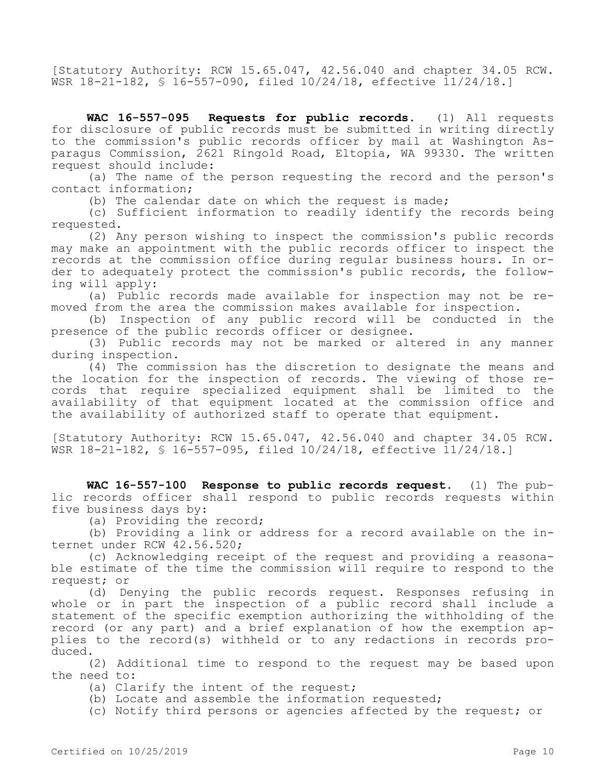[Statutory Authority: RCW 15.65.047, 42.56.040 and chapter 34.05 RCW. WSR 18-21-182, § 16-557-090, filed 10/24/18, effective 11/24/18.]

**WAC 16-557-095 Requests for public records.** (1) All requests for disclosure of public records must be submitted in writing directly to the commission's public records officer by mail at Washington Asparagus Commission, 2621 Ringold Road, Eltopia, WA 99330. The written request should include:

(a) The name of the person requesting the record and the person's contact information;

(b) The calendar date on which the request is made;

(c) Sufficient information to readily identify the records being requested.

(2) Any person wishing to inspect the commission's public records may make an appointment with the public records officer to inspect the records at the commission office during regular business hours. In order to adequately protect the commission's public records, the following will apply:

(a) Public records made available for inspection may not be removed from the area the commission makes available for inspection.

(b) Inspection of any public record will be conducted in the presence of the public records officer or designee.

(3) Public records may not be marked or altered in any manner during inspection.

(4) The commission has the discretion to designate the means and the location for the inspection of records. The viewing of those records that require specialized equipment shall be limited to the availability of that equipment located at the commission office and the availability of authorized staff to operate that equipment.

[Statutory Authority: RCW 15.65.047, 42.56.040 and chapter 34.05 RCW. WSR 18-21-182, § 16-557-095, filed 10/24/18, effective 11/24/18.]

**WAC 16-557-100 Response to public records request.** (1) The public records officer shall respond to public records requests within five business days by:

(a) Providing the record;

(b) Providing a link or address for a record available on the internet under RCW 42.56.520;

(c) Acknowledging receipt of the request and providing a reasonable estimate of the time the commission will require to respond to the request; or

(d) Denying the public records request. Responses refusing in whole or in part the inspection of a public record shall include a statement of the specific exemption authorizing the withholding of the record (or any part) and a brief explanation of how the exemption applies to the record(s) withheld or to any redactions in records produced.

(2) Additional time to respond to the request may be based upon the need to:

(a) Clarify the intent of the request;

(b) Locate and assemble the information requested;

(c) Notify third persons or agencies affected by the request; or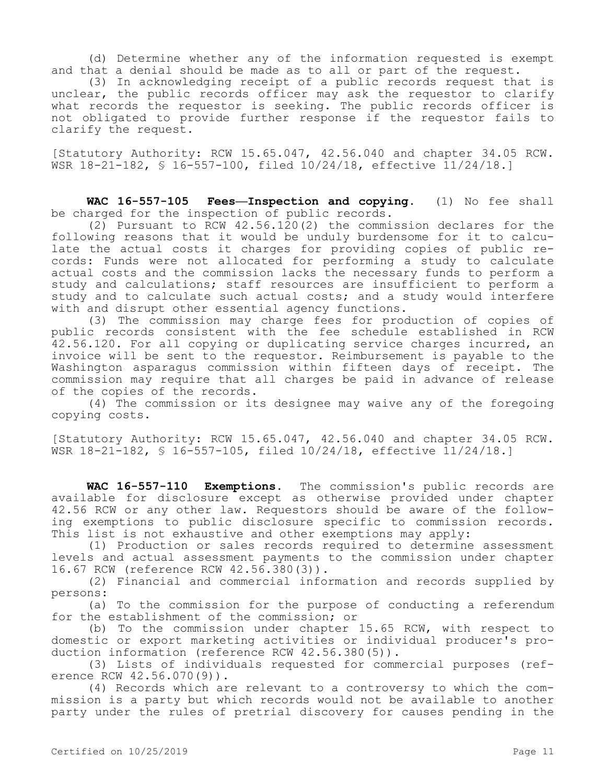(d) Determine whether any of the information requested is exempt and that a denial should be made as to all or part of the request.

(3) In acknowledging receipt of a public records request that is unclear, the public records officer may ask the requestor to clarify what records the requestor is seeking. The public records officer is not obligated to provide further response if the requestor fails to clarify the request.

[Statutory Authority: RCW 15.65.047, 42.56.040 and chapter 34.05 RCW. WSR 18-21-182, § 16-557-100, filed 10/24/18, effective 11/24/18.]

**WAC 16-557-105 Fees—Inspection and copying.** (1) No fee shall be charged for the inspection of public records.

(2) Pursuant to RCW 42.56.120(2) the commission declares for the following reasons that it would be unduly burdensome for it to calculate the actual costs it charges for providing copies of public records: Funds were not allocated for performing a study to calculate actual costs and the commission lacks the necessary funds to perform a study and calculations; staff resources are insufficient to perform a study and to calculate such actual costs; and a study would interfere with and disrupt other essential agency functions.

(3) The commission may charge fees for production of copies of public records consistent with the fee schedule established in RCW 42.56.120. For all copying or duplicating service charges incurred, an invoice will be sent to the requestor. Reimbursement is payable to the Washington asparagus commission within fifteen days of receipt. The commission may require that all charges be paid in advance of release of the copies of the records.

(4) The commission or its designee may waive any of the foregoing copying costs.

[Statutory Authority: RCW 15.65.047, 42.56.040 and chapter 34.05 RCW. WSR 18-21-182, § 16-557-105, filed 10/24/18, effective 11/24/18.]

**WAC 16-557-110 Exemptions.** The commission's public records are available for disclosure except as otherwise provided under chapter 42.56 RCW or any other law. Requestors should be aware of the following exemptions to public disclosure specific to commission records. This list is not exhaustive and other exemptions may apply:

(1) Production or sales records required to determine assessment levels and actual assessment payments to the commission under chapter 16.67 RCW (reference RCW 42.56.380(3)).

(2) Financial and commercial information and records supplied by persons:

(a) To the commission for the purpose of conducting a referendum for the establishment of the commission; or

(b) To the commission under chapter 15.65 RCW, with respect to domestic or export marketing activities or individual producer's production information (reference RCW 42.56.380(5)).

(3) Lists of individuals requested for commercial purposes (reference RCW 42.56.070(9)).

(4) Records which are relevant to a controversy to which the commission is a party but which records would not be available to another party under the rules of pretrial discovery for causes pending in the